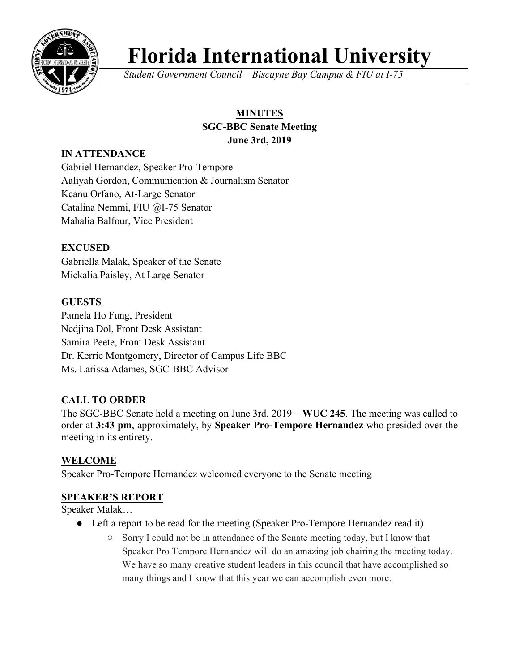

# **Florida International University**

*Student Government Council – Biscayne Bay Campus & FIU at I-75*

# **MINUTES**

#### **SGC-BBC Senate Meeting June 3rd, 2019**

# **IN ATTENDANCE**

Gabriel Hernandez, Speaker Pro-Tempore Aaliyah Gordon, Communication & Journalism Senator Keanu Orfano, At-Large Senator Catalina Nemmi, FIU @I-75 Senator Mahalia Balfour, Vice President

## **EXCUSED**

Gabriella Malak, Speaker of the Senate Mickalia Paisley, At Large Senator

## **GUESTS**

Pamela Ho Fung, President Nedjina Dol, Front Desk Assistant Samira Peete, Front Desk Assistant Dr. Kerrie Montgomery, Director of Campus Life BBC Ms. Larissa Adames, SGC-BBC Advisor

## **CALL TO ORDER**

The SGC-BBC Senate held a meeting on June 3rd, 2019 – **WUC 245**. The meeting was called to order at **3:43 pm**, approximately, by **Speaker Pro-Tempore Hernandez** who presided over the meeting in its entirety.

## **WELCOME**

Speaker Pro-Tempore Hernandez welcomed everyone to the Senate meeting

## **SPEAKER'S REPORT**

Speaker Malak…

- Left a report to be read for the meeting (Speaker Pro-Tempore Hernandez read it)
	- Sorry I could not be in attendance of the Senate meeting today, but I know that Speaker Pro Tempore Hernandez will do an amazing job chairing the meeting today. We have so many creative student leaders in this council that have accomplished so many things and I know that this year we can accomplish even more.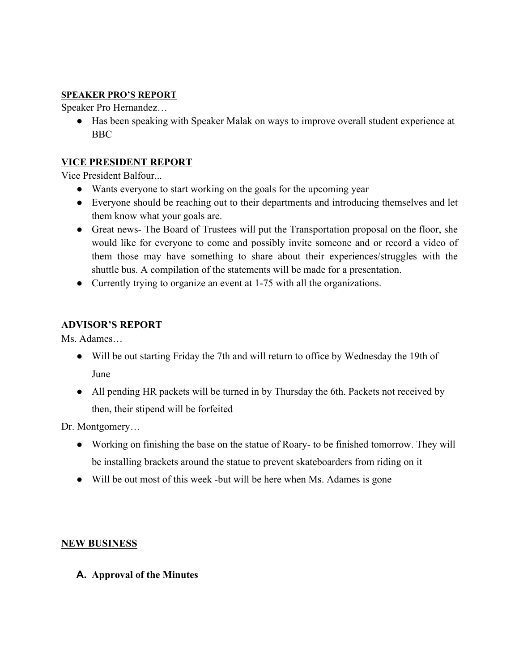#### **SPEAKER PRO'S REPORT**

Speaker Pro Hernandez…

● Has been speaking with Speaker Malak on ways to improve overall student experience at BBC

#### **VICE PRESIDENT REPORT**

Vice President Balfour...

- Wants everyone to start working on the goals for the upcoming year
- Everyone should be reaching out to their departments and introducing themselves and let them know what your goals are.
- Great news- The Board of Trustees will put the Transportation proposal on the floor, she would like for everyone to come and possibly invite someone and or record a video of them those may have something to share about their experiences/struggles with the shuttle bus. A compilation of the statements will be made for a presentation.
- Currently trying to organize an event at 1-75 with all the organizations.

#### **ADVISOR'S REPORT**

Ms. Adames…

- Will be out starting Friday the 7th and will return to office by Wednesday the 19th of June
- All pending HR packets will be turned in by Thursday the 6th. Packets not received by then, their stipend will be forfeited

Dr. Montgomery...

- Working on finishing the base on the statue of Roary- to be finished tomorrow. They will be installing brackets around the statue to prevent skateboarders from riding on it
- Will be out most of this week -but will be here when Ms. Adames is gone

#### **NEW BUSINESS**

**A. Approval of the Minutes**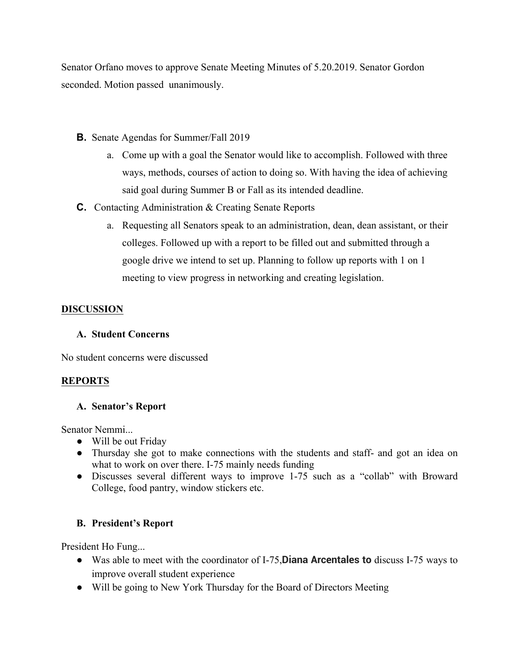Senator Orfano moves to approve Senate Meeting Minutes of 5.20.2019. Senator Gordon seconded. Motion passed unanimously.

- **B.** Senate Agendas for Summer/Fall 2019
	- a. Come up with a goal the Senator would like to accomplish. Followed with three ways, methods, courses of action to doing so. With having the idea of achieving said goal during Summer B or Fall as its intended deadline.
- **C.** Contacting Administration & Creating Senate Reports
	- a. Requesting all Senators speak to an administration, dean, dean assistant, or their colleges. Followed up with a report to be filled out and submitted through a google drive we intend to set up. Planning to follow up reports with 1 on 1 meeting to view progress in networking and creating legislation.

#### **DISCUSSION**

#### **A. Student Concerns**

No student concerns were discussed

#### **REPORTS**

#### **A. Senator's Report**

Senator Nemmi...

- Will be out Friday
- Thursday she got to make connections with the students and staff- and got an idea on what to work on over there. I-75 mainly needs funding
- Discusses several different ways to improve 1-75 such as a "collab" with Broward College, food pantry, window stickers etc.

#### **B. President's Report**

President Ho Fung...

- Was able to meet with the coordinator of I-75,**Diana Arcentales to** discuss I-75 ways to improve overall student experience
- Will be going to New York Thursday for the Board of Directors Meeting